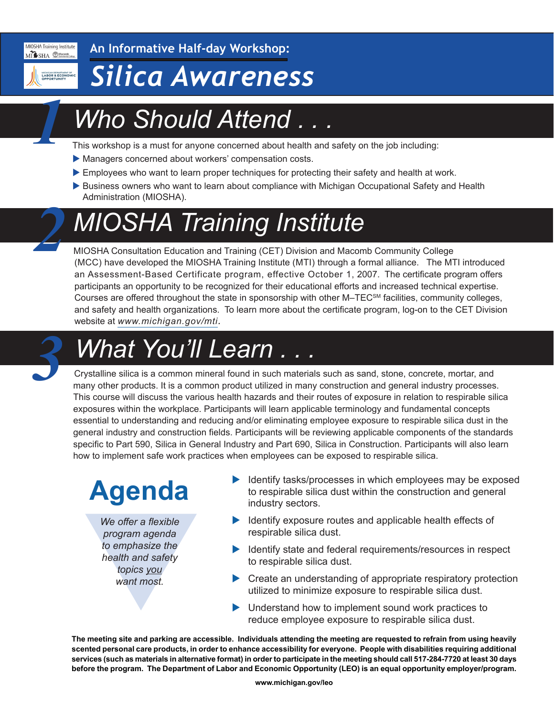MIOSHA Training Institute MISHA CMacomb

MICHIGAN DEPARTMEN<br>LABOR & ECON

*1*

*2*

**An Informative Half-day Workshop:**

### *Silica Awareness*

# *Who Should Attend . . .*

This workshop is a must for anyone concerned about health and safety on the job including:

- Managers concerned about workers' compensation costs.
- Employees who want to learn proper techniques for protecting their safety and health at work.
- Business owners who want to learn about compliance with Michigan Occupational Safety and Health Administration (MIOSHA).

# *MIOSHA Training Institute*

MIOSHA Consultation Education and Training (CET) Division and Macomb Community College (MCC) have developed the MIOSHA Training Institute (MTI) through a formal alliance. The MTI introduced an Assessment-Based Certificate program, effective October 1, 2007. The certificate program offers participants an opportunity to be recognized for their educational efforts and increased technical expertise. Courses are offered throughout the state in sponsorship with other M–TECSM facilities, community colleges, and safety and health organizations. To learn more about the certificate program, log-on to the CET Division website at *[www.michigan.gov/mti.](http://www.michigan.gov/mti)*

### *What You'll Learn . . . 3*

Crystalline silica is a common mineral found in such materials such as sand, stone, concrete, mortar, and many other products. It is a common product utilized in many construction and general industry processes. This course will discuss the various health hazards and their routes of exposure in relation to respirable silica exposures within the workplace. Participants will learn applicable terminology and fundamental concepts essential to understanding and reducing and/or eliminating employee exposure to respirable silica dust in the general industry and construction fields. Participants will be reviewing applicable components of the standards specific to Part 590, Silica in General Industry and Part 690, Silica in Construction. Participants will also learn how to implement safe work practices when employees can be exposed to respirable silica.

# **Agenda**

We offer a flexible<br>program agenda<br>to emphasize the<br>health and safety<br>topics you<br>want most. *We offer a flexible program agenda to emphasize the health and safety topics you want most.*

- Identify tasks/processes in which employees may be exposed to respirable silica dust within the construction and general industry sectors.
- $\blacktriangleright$  Identify exposure routes and applicable health effects of respirable silica dust.
- $\blacktriangleright$  Identify state and federal requirements/resources in respect to respirable silica dust.
- $\triangleright$  Create an understanding of appropriate respiratory protection utilized to minimize exposure to respirable silica dust.
- $\blacktriangleright$  Understand how to implement sound work practices to reduce employee exposure to respirable silica dust.

**The meeting site and parking are accessible. Individuals attending the meeting are requested to refrain from using heavily scented personal care products, in order to enhance accessibility for everyone. People with disabilities requiring additional services (such as materials in alternative format) in order to participate in the meeting should call 517-284-7720 at least 30 days before the program. The Department of Labor and Economic Opportunity (LEO) is an equal opportunity employer/program.**